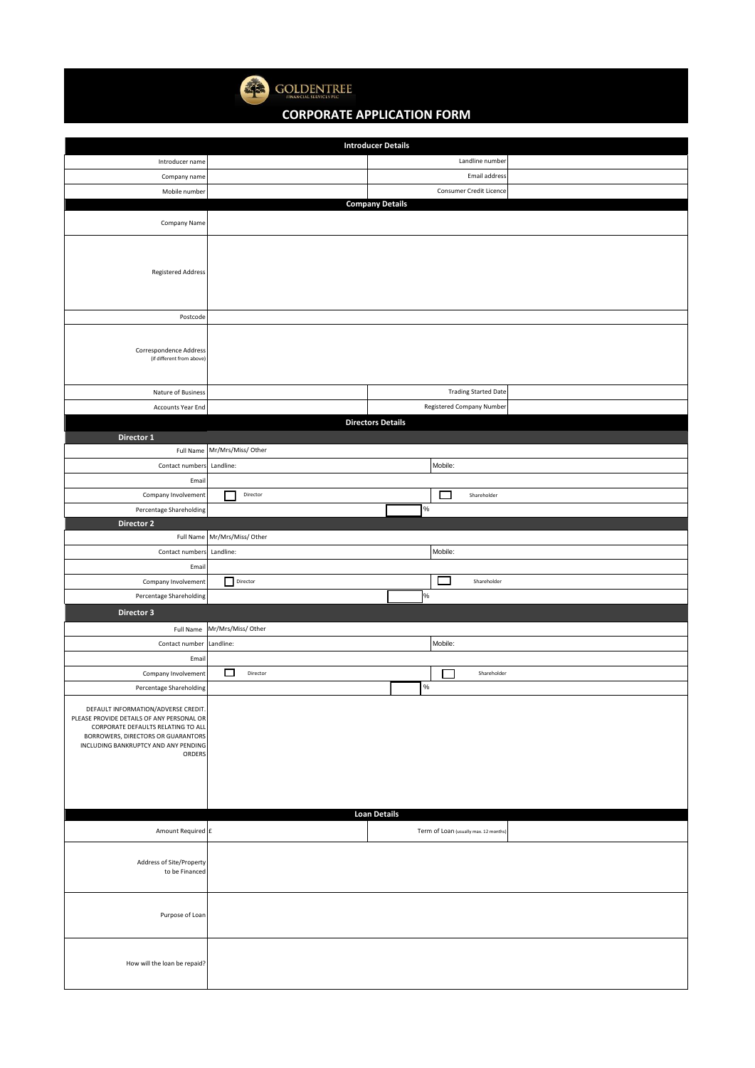

**GOLDENTREE** 

## **CORPORATE APPLICATION FORM**

|                                                                                 | <b>Introducer Details</b>             |  |  |  |
|---------------------------------------------------------------------------------|---------------------------------------|--|--|--|
| Introducer name                                                                 | Landline number                       |  |  |  |
| Company name                                                                    | Email address                         |  |  |  |
| Mobile number                                                                   | Consumer Credit Licence               |  |  |  |
|                                                                                 | <b>Company Details</b>                |  |  |  |
| Company Name                                                                    |                                       |  |  |  |
|                                                                                 |                                       |  |  |  |
|                                                                                 |                                       |  |  |  |
| Registered Address                                                              |                                       |  |  |  |
|                                                                                 |                                       |  |  |  |
|                                                                                 |                                       |  |  |  |
| Postcode                                                                        |                                       |  |  |  |
|                                                                                 |                                       |  |  |  |
| Correspondence Address                                                          |                                       |  |  |  |
| (if different from above)                                                       |                                       |  |  |  |
|                                                                                 |                                       |  |  |  |
| Nature of Business                                                              | <b>Trading Started Date</b>           |  |  |  |
| <b>Accounts Year End</b>                                                        | Registered Company Number             |  |  |  |
|                                                                                 | <b>Directors Details</b>              |  |  |  |
| Director 1                                                                      |                                       |  |  |  |
| Full Name                                                                       | Mr/Mrs/Miss/ Other                    |  |  |  |
| Contact numbers                                                                 | Mobile:<br>Landline:                  |  |  |  |
| Email                                                                           |                                       |  |  |  |
| Company Involvement                                                             | Director<br>Shareholder<br>. .        |  |  |  |
| Percentage Shareholding                                                         | $\%$                                  |  |  |  |
| Director 2                                                                      |                                       |  |  |  |
| Full Name                                                                       | Mr/Mrs/Miss/ Other                    |  |  |  |
| Contact numbers                                                                 | Mobile:<br>Landline:                  |  |  |  |
| Email                                                                           |                                       |  |  |  |
| Company Involvement                                                             | Director<br>Shareholder               |  |  |  |
| Percentage Shareholding                                                         | %                                     |  |  |  |
| Director 3                                                                      |                                       |  |  |  |
| Full Name                                                                       | Mr/Mrs/Miss/ Other                    |  |  |  |
| Contact number                                                                  | Mobile:<br>Landline:                  |  |  |  |
| Email                                                                           |                                       |  |  |  |
| Company Involvement                                                             | Director<br>$\Box$<br>Shareholder     |  |  |  |
| Percentage Shareholding                                                         | %                                     |  |  |  |
|                                                                                 |                                       |  |  |  |
| DEFAULT INFORMATION/ADVERSE CREDIT<br>PLEASE PROVIDE DETAILS OF ANY PERSONAL OR |                                       |  |  |  |
| CORPORATE DEFAULTS RELATING TO ALL<br>BORROWERS, DIRECTORS OR GUARANTORS        |                                       |  |  |  |
| INCLUDING BANKRUPTCY AND ANY PENDING<br>ORDERS                                  |                                       |  |  |  |
|                                                                                 |                                       |  |  |  |
|                                                                                 |                                       |  |  |  |
|                                                                                 |                                       |  |  |  |
|                                                                                 |                                       |  |  |  |
|                                                                                 | <b>Loan Details</b>                   |  |  |  |
| Amount Required £                                                               | Term of Loan (usually max. 12 months) |  |  |  |
|                                                                                 |                                       |  |  |  |
| Address of Site/Property                                                        |                                       |  |  |  |
| to be Financed                                                                  |                                       |  |  |  |
|                                                                                 |                                       |  |  |  |
| Purpose of Loan                                                                 |                                       |  |  |  |
|                                                                                 |                                       |  |  |  |
|                                                                                 |                                       |  |  |  |
|                                                                                 |                                       |  |  |  |
| How will the loan be repaid?                                                    |                                       |  |  |  |
|                                                                                 |                                       |  |  |  |